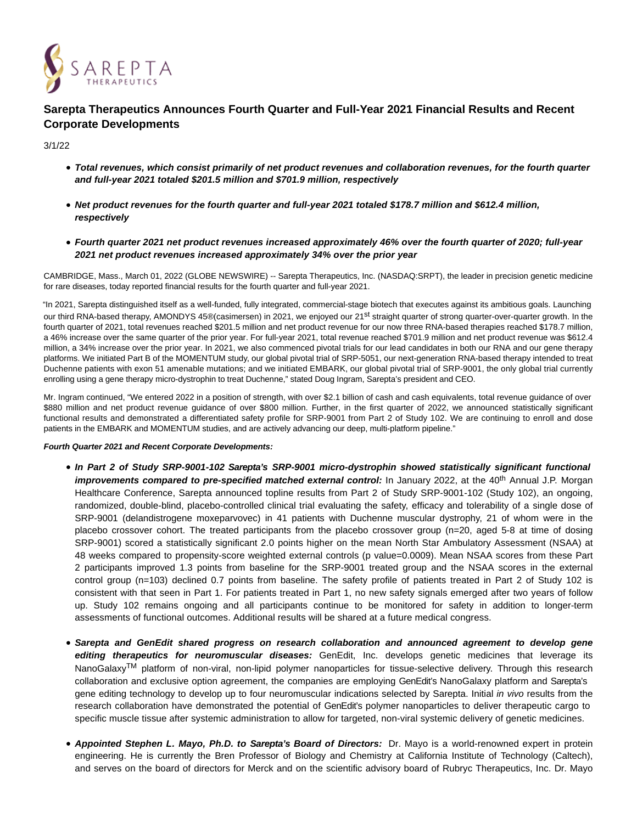

# **Sarepta Therapeutics Announces Fourth Quarter and Full-Year 2021 Financial Results and Recent Corporate Developments**

3/1/22

- **Total revenues, which consist primarily of net product revenues and collaboration revenues, for the fourth quarter and full-year 2021 totaled \$201.5 million and \$701.9 million, respectively**
- **Net product revenues for the fourth quarter and full-year 2021 totaled \$178.7 million and \$612.4 million, respectively**
- **Fourth quarter 2021 net product revenues increased approximately 46% over the fourth quarter of 2020; full-year 2021 net product revenues increased approximately 34% over the prior year**

CAMBRIDGE, Mass., March 01, 2022 (GLOBE NEWSWIRE) -- Sarepta Therapeutics, Inc. (NASDAQ:SRPT), the leader in precision genetic medicine for rare diseases, today reported financial results for the fourth quarter and full-year 2021.

"In 2021, Sarepta distinguished itself as a well-funded, fully integrated, commercial-stage biotech that executes against its ambitious goals. Launching our third RNA-based therapy, AMONDYS 45®(casimersen) in 2021, we enjoyed our 21<sup>st</sup> straight quarter of strong quarter-over-quarter growth. In the fourth quarter of 2021, total revenues reached \$201.5 million and net product revenue for our now three RNA-based therapies reached \$178.7 million, a 46% increase over the same quarter of the prior year. For full-year 2021, total revenue reached \$701.9 million and net product revenue was \$612.4 million, a 34% increase over the prior year. In 2021, we also commenced pivotal trials for our lead candidates in both our RNA and our gene therapy platforms. We initiated Part B of the MOMENTUM study, our global pivotal trial of SRP-5051, our next-generation RNA-based therapy intended to treat Duchenne patients with exon 51 amenable mutations; and we initiated EMBARK, our global pivotal trial of SRP-9001, the only global trial currently enrolling using a gene therapy micro-dystrophin to treat Duchenne," stated Doug Ingram, Sarepta's president and CEO.

Mr. Ingram continued, "We entered 2022 in a position of strength, with over \$2.1 billion of cash and cash equivalents, total revenue guidance of over \$880 million and net product revenue guidance of over \$800 million. Further, in the first quarter of 2022, we announced statistically significant functional results and demonstrated a differentiated safety profile for SRP-9001 from Part 2 of Study 102. We are continuing to enroll and dose patients in the EMBARK and MOMENTUM studies, and are actively advancing our deep, multi-platform pipeline."

# **Fourth Quarter 2021 and Recent Corporate Developments:**

- **In Part 2 of Study SRP-9001-102 Sarepta's SRP-9001 micro-dystrophin showed statistically significant functional improvements compared to pre-specified matched external control:** In January 2022, at the 40th Annual J.P. Morgan Healthcare Conference, Sarepta announced topline results from Part 2 of Study SRP-9001-102 (Study 102), an ongoing, randomized, double-blind, placebo-controlled clinical trial evaluating the safety, efficacy and tolerability of a single dose of SRP-9001 (delandistrogene moxeparvovec) in 41 patients with Duchenne muscular dystrophy, 21 of whom were in the placebo crossover cohort. The treated participants from the placebo crossover group (n=20, aged 5-8 at time of dosing SRP-9001) scored a statistically significant 2.0 points higher on the mean North Star Ambulatory Assessment (NSAA) at 48 weeks compared to propensity-score weighted external controls (p value=0.0009). Mean NSAA scores from these Part 2 participants improved 1.3 points from baseline for the SRP-9001 treated group and the NSAA scores in the external control group (n=103) declined 0.7 points from baseline. The safety profile of patients treated in Part 2 of Study 102 is consistent with that seen in Part 1. For patients treated in Part 1, no new safety signals emerged after two years of follow up. Study 102 remains ongoing and all participants continue to be monitored for safety in addition to longer-term assessments of functional outcomes. Additional results will be shared at a future medical congress.
- **Sarepta and GenEdit shared progress on research collaboration and announced agreement to develop gene editing therapeutics for neuromuscular diseases:** GenEdit, Inc. develops genetic medicines that leverage its NanoGalaxy<sup>™</sup> platform of non-viral, non-lipid polymer nanoparticles for tissue-selective delivery. Through this research collaboration and exclusive option agreement, the companies are employing GenEdit's NanoGalaxy platform and Sarepta's gene editing technology to develop up to four neuromuscular indications selected by Sarepta. Initial in vivo results from the research collaboration have demonstrated the potential of GenEdit's polymer nanoparticles to deliver therapeutic cargo to specific muscle tissue after systemic administration to allow for targeted, non-viral systemic delivery of genetic medicines.
- **Appointed Stephen L. Mayo, Ph.D. to Sarepta's Board of Directors:** Dr. Mayo is a world-renowned expert in protein engineering. He is currently the Bren Professor of Biology and Chemistry at California Institute of Technology (Caltech), and serves on the board of directors for Merck and on the scientific advisory board of Rubryc Therapeutics, Inc. Dr. Mayo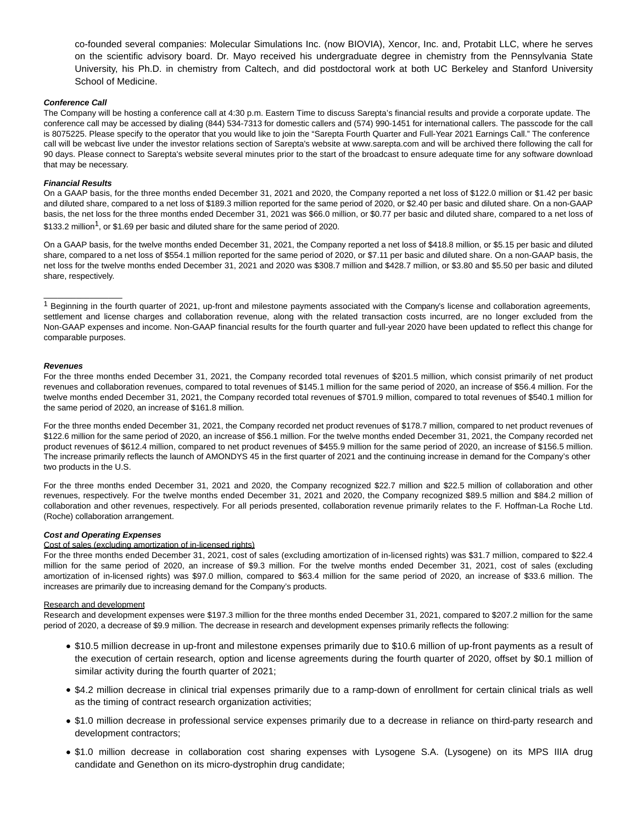co-founded several companies: Molecular Simulations Inc. (now BIOVIA), Xencor, Inc. and, Protabit LLC, where he serves on the scientific advisory board. Dr. Mayo received his undergraduate degree in chemistry from the Pennsylvania State University, his Ph.D. in chemistry from Caltech, and did postdoctoral work at both UC Berkeley and Stanford University School of Medicine.

# **Conference Call**

The Company will be hosting a conference call at 4:30 p.m. Eastern Time to discuss Sarepta's financial results and provide a corporate update. The conference call may be accessed by dialing (844) 534-7313 for domestic callers and (574) 990-1451 for international callers. The passcode for the call is 8075225. Please specify to the operator that you would like to join the "Sarepta Fourth Quarter and Full-Year 2021 Earnings Call." The conference call will be webcast live under the investor relations section of Sarepta's website at www.sarepta.com and will be archived there following the call for 90 days. Please connect to Sarepta's website several minutes prior to the start of the broadcast to ensure adequate time for any software download that may be necessary.

# **Financial Results**

 $\overline{\phantom{a}}$  , where  $\overline{\phantom{a}}$  , where  $\overline{\phantom{a}}$  , where  $\overline{\phantom{a}}$ 

On a GAAP basis, for the three months ended December 31, 2021 and 2020, the Company reported a net loss of \$122.0 million or \$1.42 per basic and diluted share, compared to a net loss of \$189.3 million reported for the same period of 2020, or \$2.40 per basic and diluted share. On a non-GAAP basis, the net loss for the three months ended December 31, 2021 was \$66.0 million, or \$0.77 per basic and diluted share, compared to a net loss of  $$133.2$  million<sup>1</sup>, or \$1.69 per basic and diluted share for the same period of 2020.

On a GAAP basis, for the twelve months ended December 31, 2021, the Company reported a net loss of \$418.8 million, or \$5.15 per basic and diluted share, compared to a net loss of \$554.1 million reported for the same period of 2020, or \$7.11 per basic and diluted share. On a non-GAAP basis, the net loss for the twelve months ended December 31, 2021 and 2020 was \$308.7 million and \$428.7 million, or \$3.80 and \$5.50 per basic and diluted share, respectively.

 $1$  Beginning in the fourth quarter of 2021, up-front and milestone payments associated with the Company's license and collaboration agreements, settlement and license charges and collaboration revenue, along with the related transaction costs incurred, are no longer excluded from the Non-GAAP expenses and income. Non-GAAP financial results for the fourth quarter and full-year 2020 have been updated to reflect this change for comparable purposes.

#### **Revenues**

For the three months ended December 31, 2021, the Company recorded total revenues of \$201.5 million, which consist primarily of net product revenues and collaboration revenues, compared to total revenues of \$145.1 million for the same period of 2020, an increase of \$56.4 million. For the twelve months ended December 31, 2021, the Company recorded total revenues of \$701.9 million, compared to total revenues of \$540.1 million for the same period of 2020, an increase of \$161.8 million.

For the three months ended December 31, 2021, the Company recorded net product revenues of \$178.7 million, compared to net product revenues of \$122.6 million for the same period of 2020, an increase of \$56.1 million. For the twelve months ended December 31, 2021, the Company recorded net product revenues of \$612.4 million, compared to net product revenues of \$455.9 million for the same period of 2020, an increase of \$156.5 million. The increase primarily reflects the launch of AMONDYS 45 in the first quarter of 2021 and the continuing increase in demand for the Company's other two products in the U.S.

For the three months ended December 31, 2021 and 2020, the Company recognized \$22.7 million and \$22.5 million of collaboration and other revenues, respectively. For the twelve months ended December 31, 2021 and 2020, the Company recognized \$89.5 million and \$84.2 million of collaboration and other revenues, respectively. For all periods presented, collaboration revenue primarily relates to the F. Hoffman-La Roche Ltd. (Roche) collaboration arrangement.

#### **Cost and Operating Expenses**

#### Cost of sales (excluding amortization of in-licensed rights)

For the three months ended December 31, 2021, cost of sales (excluding amortization of in-licensed rights) was \$31.7 million, compared to \$22.4 million for the same period of 2020, an increase of \$9.3 million. For the twelve months ended December 31, 2021, cost of sales (excluding amortization of in-licensed rights) was \$97.0 million, compared to \$63.4 million for the same period of 2020, an increase of \$33.6 million. The increases are primarily due to increasing demand for the Company's products.

#### Research and development

Research and development expenses were \$197.3 million for the three months ended December 31, 2021, compared to \$207.2 million for the same period of 2020, a decrease of \$9.9 million. The decrease in research and development expenses primarily reflects the following:

- \$10.5 million decrease in up-front and milestone expenses primarily due to \$10.6 million of up-front payments as a result of the execution of certain research, option and license agreements during the fourth quarter of 2020, offset by \$0.1 million of similar activity during the fourth quarter of 2021;
- \$4.2 million decrease in clinical trial expenses primarily due to a ramp-down of enrollment for certain clinical trials as well as the timing of contract research organization activities;
- \$1.0 million decrease in professional service expenses primarily due to a decrease in reliance on third-party research and development contractors;
- \$1.0 million decrease in collaboration cost sharing expenses with Lysogene S.A. (Lysogene) on its MPS IIIA drug candidate and Genethon on its micro-dystrophin drug candidate;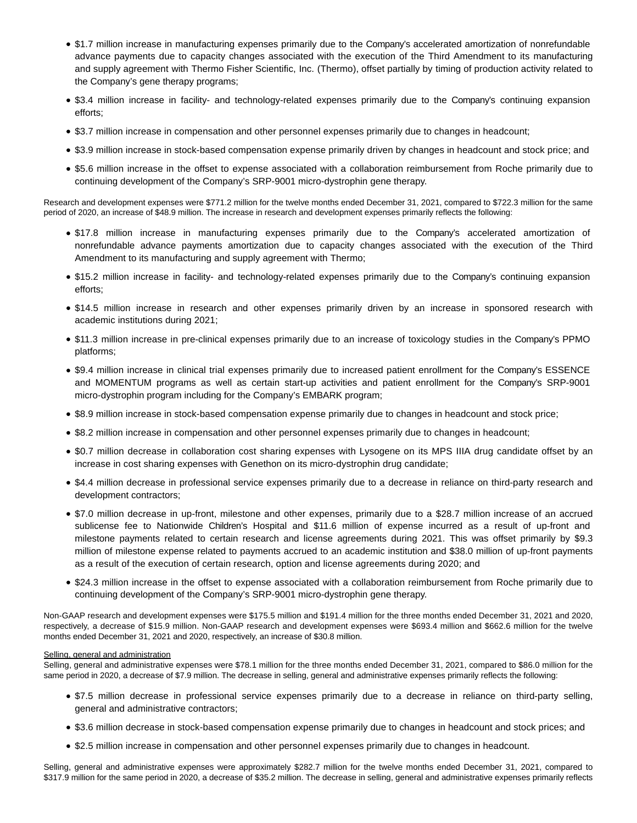- \$1.7 million increase in manufacturing expenses primarily due to the Company's accelerated amortization of nonrefundable advance payments due to capacity changes associated with the execution of the Third Amendment to its manufacturing and supply agreement with Thermo Fisher Scientific, Inc. (Thermo), offset partially by timing of production activity related to the Company's gene therapy programs;
- \$3.4 million increase in facility- and technology-related expenses primarily due to the Company's continuing expansion efforts;
- \$3.7 million increase in compensation and other personnel expenses primarily due to changes in headcount;
- \$3.9 million increase in stock-based compensation expense primarily driven by changes in headcount and stock price; and
- \$5.6 million increase in the offset to expense associated with a collaboration reimbursement from Roche primarily due to continuing development of the Company's SRP-9001 micro-dystrophin gene therapy.

Research and development expenses were \$771.2 million for the twelve months ended December 31, 2021, compared to \$722.3 million for the same period of 2020, an increase of \$48.9 million. The increase in research and development expenses primarily reflects the following:

- \$17.8 million increase in manufacturing expenses primarily due to the Company's accelerated amortization of nonrefundable advance payments amortization due to capacity changes associated with the execution of the Third Amendment to its manufacturing and supply agreement with Thermo;
- \$15.2 million increase in facility- and technology-related expenses primarily due to the Company's continuing expansion efforts;
- \$14.5 million increase in research and other expenses primarily driven by an increase in sponsored research with academic institutions during 2021;
- \$11.3 million increase in pre-clinical expenses primarily due to an increase of toxicology studies in the Company's PPMO platforms;
- \$9.4 million increase in clinical trial expenses primarily due to increased patient enrollment for the Company's ESSENCE and MOMENTUM programs as well as certain start-up activities and patient enrollment for the Company's SRP-9001 micro-dystrophin program including for the Company's EMBARK program;
- \$8.9 million increase in stock-based compensation expense primarily due to changes in headcount and stock price;
- \$8.2 million increase in compensation and other personnel expenses primarily due to changes in headcount;
- \$0.7 million decrease in collaboration cost sharing expenses with Lysogene on its MPS IIIA drug candidate offset by an increase in cost sharing expenses with Genethon on its micro-dystrophin drug candidate;
- \$4.4 million decrease in professional service expenses primarily due to a decrease in reliance on third-party research and development contractors;
- \$7.0 million decrease in up-front, milestone and other expenses, primarily due to a \$28.7 million increase of an accrued sublicense fee to Nationwide Children's Hospital and \$11.6 million of expense incurred as a result of up-front and milestone payments related to certain research and license agreements during 2021. This was offset primarily by \$9.3 million of milestone expense related to payments accrued to an academic institution and \$38.0 million of up-front payments as a result of the execution of certain research, option and license agreements during 2020; and
- \$24.3 million increase in the offset to expense associated with a collaboration reimbursement from Roche primarily due to continuing development of the Company's SRP-9001 micro-dystrophin gene therapy.

Non-GAAP research and development expenses were \$175.5 million and \$191.4 million for the three months ended December 31, 2021 and 2020, respectively, a decrease of \$15.9 million. Non-GAAP research and development expenses were \$693.4 million and \$662.6 million for the twelve months ended December 31, 2021 and 2020, respectively, an increase of \$30.8 million.

# Selling, general and administration

Selling, general and administrative expenses were \$78.1 million for the three months ended December 31, 2021, compared to \$86.0 million for the same period in 2020, a decrease of \$7.9 million. The decrease in selling, general and administrative expenses primarily reflects the following:

- \$7.5 million decrease in professional service expenses primarily due to a decrease in reliance on third-party selling, general and administrative contractors;
- \$3.6 million decrease in stock-based compensation expense primarily due to changes in headcount and stock prices; and
- \$2.5 million increase in compensation and other personnel expenses primarily due to changes in headcount.

Selling, general and administrative expenses were approximately \$282.7 million for the twelve months ended December 31, 2021, compared to \$317.9 million for the same period in 2020, a decrease of \$35.2 million. The decrease in selling, general and administrative expenses primarily reflects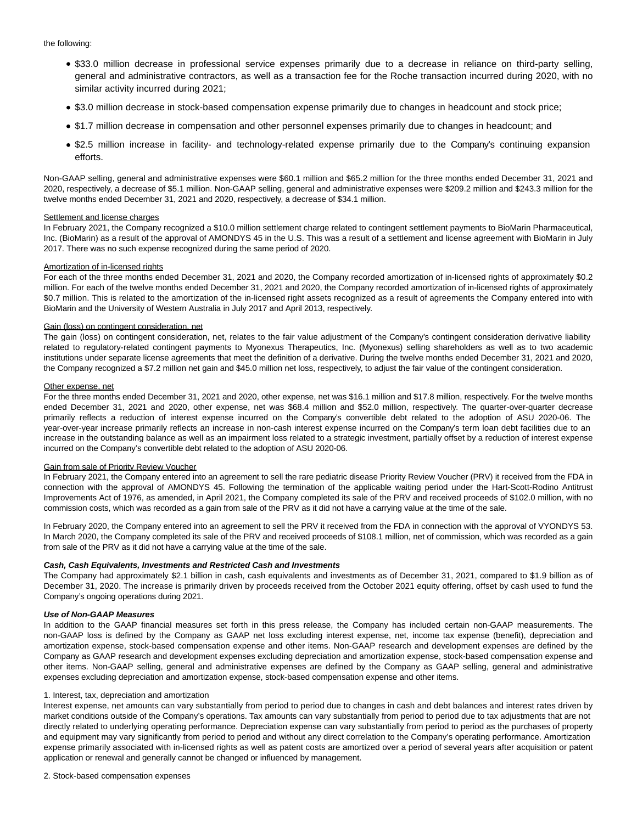#### the following:

- \$33.0 million decrease in professional service expenses primarily due to a decrease in reliance on third-party selling, general and administrative contractors, as well as a transaction fee for the Roche transaction incurred during 2020, with no similar activity incurred during 2021;
- \$3.0 million decrease in stock-based compensation expense primarily due to changes in headcount and stock price;
- \$1.7 million decrease in compensation and other personnel expenses primarily due to changes in headcount; and
- \$2.5 million increase in facility- and technology-related expense primarily due to the Company's continuing expansion efforts.

Non-GAAP selling, general and administrative expenses were \$60.1 million and \$65.2 million for the three months ended December 31, 2021 and 2020, respectively, a decrease of \$5.1 million. Non-GAAP selling, general and administrative expenses were \$209.2 million and \$243.3 million for the twelve months ended December 31, 2021 and 2020, respectively, a decrease of \$34.1 million.

#### Settlement and license charges

In February 2021, the Company recognized a \$10.0 million settlement charge related to contingent settlement payments to BioMarin Pharmaceutical, Inc. (BioMarin) as a result of the approval of AMONDYS 45 in the U.S. This was a result of a settlement and license agreement with BioMarin in July 2017. There was no such expense recognized during the same period of 2020.

#### Amortization of in-licensed rights

For each of the three months ended December 31, 2021 and 2020, the Company recorded amortization of in-licensed rights of approximately \$0.2 million. For each of the twelve months ended December 31, 2021 and 2020, the Company recorded amortization of in-licensed rights of approximately \$0.7 million. This is related to the amortization of the in-licensed right assets recognized as a result of agreements the Company entered into with BioMarin and the University of Western Australia in July 2017 and April 2013, respectively.

# Gain (loss) on contingent consideration, net

The gain (loss) on contingent consideration, net, relates to the fair value adjustment of the Company's contingent consideration derivative liability related to regulatory-related contingent payments to Myonexus Therapeutics, Inc. (Myonexus) selling shareholders as well as to two academic institutions under separate license agreements that meet the definition of a derivative. During the twelve months ended December 31, 2021 and 2020, the Company recognized a \$7.2 million net gain and \$45.0 million net loss, respectively, to adjust the fair value of the contingent consideration.

#### Other expense, net

For the three months ended December 31, 2021 and 2020, other expense, net was \$16.1 million and \$17.8 million, respectively. For the twelve months ended December 31, 2021 and 2020, other expense, net was \$68.4 million and \$52.0 million, respectively. The quarter-over-quarter decrease primarily reflects a reduction of interest expense incurred on the Company's convertible debt related to the adoption of ASU 2020-06. The year-over-year increase primarily reflects an increase in non-cash interest expense incurred on the Company's term loan debt facilities due to an increase in the outstanding balance as well as an impairment loss related to a strategic investment, partially offset by a reduction of interest expense incurred on the Company's convertible debt related to the adoption of ASU 2020-06.

#### Gain from sale of Priority Review Voucher

In February 2021, the Company entered into an agreement to sell the rare pediatric disease Priority Review Voucher (PRV) it received from the FDA in connection with the approval of AMONDYS 45. Following the termination of the applicable waiting period under the Hart-Scott-Rodino Antitrust Improvements Act of 1976, as amended, in April 2021, the Company completed its sale of the PRV and received proceeds of \$102.0 million, with no commission costs, which was recorded as a gain from sale of the PRV as it did not have a carrying value at the time of the sale.

In February 2020, the Company entered into an agreement to sell the PRV it received from the FDA in connection with the approval of VYONDYS 53. In March 2020, the Company completed its sale of the PRV and received proceeds of \$108.1 million, net of commission, which was recorded as a gain from sale of the PRV as it did not have a carrying value at the time of the sale.

# **Cash, Cash Equivalents, Investments and Restricted Cash and Investments**

The Company had approximately \$2.1 billion in cash, cash equivalents and investments as of December 31, 2021, compared to \$1.9 billion as of December 31, 2020. The increase is primarily driven by proceeds received from the October 2021 equity offering, offset by cash used to fund the Company's ongoing operations during 2021.

#### **Use of Non-GAAP Measures**

In addition to the GAAP financial measures set forth in this press release, the Company has included certain non-GAAP measurements. The non-GAAP loss is defined by the Company as GAAP net loss excluding interest expense, net, income tax expense (benefit), depreciation and amortization expense, stock-based compensation expense and other items. Non-GAAP research and development expenses are defined by the Company as GAAP research and development expenses excluding depreciation and amortization expense, stock-based compensation expense and other items. Non-GAAP selling, general and administrative expenses are defined by the Company as GAAP selling, general and administrative expenses excluding depreciation and amortization expense, stock-based compensation expense and other items.

### 1. Interest, tax, depreciation and amortization

Interest expense, net amounts can vary substantially from period to period due to changes in cash and debt balances and interest rates driven by market conditions outside of the Company's operations. Tax amounts can vary substantially from period to period due to tax adjustments that are not directly related to underlying operating performance. Depreciation expense can vary substantially from period to period as the purchases of property and equipment may vary significantly from period to period and without any direct correlation to the Company's operating performance. Amortization expense primarily associated with in-licensed rights as well as patent costs are amortized over a period of several years after acquisition or patent application or renewal and generally cannot be changed or influenced by management.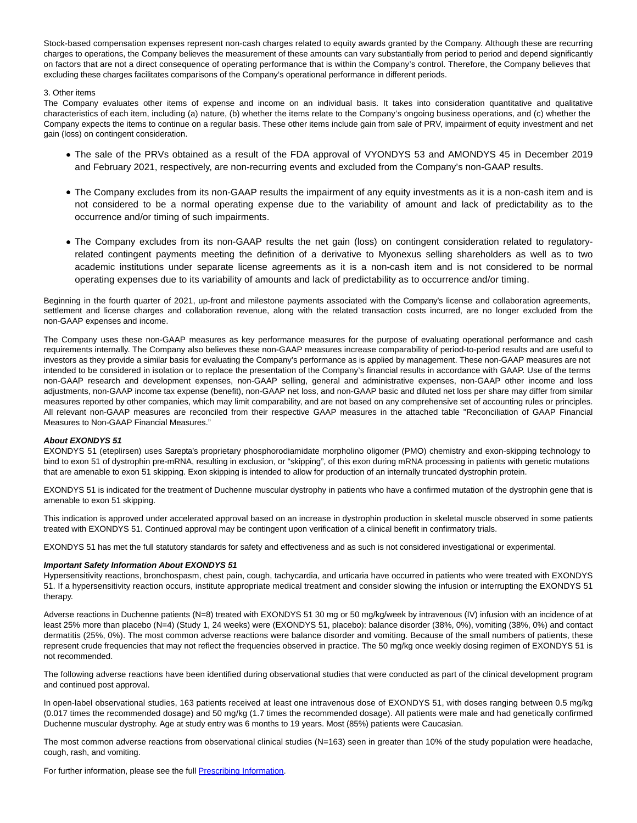Stock-based compensation expenses represent non-cash charges related to equity awards granted by the Company. Although these are recurring charges to operations, the Company believes the measurement of these amounts can vary substantially from period to period and depend significantly on factors that are not a direct consequence of operating performance that is within the Company's control. Therefore, the Company believes that excluding these charges facilitates comparisons of the Company's operational performance in different periods.

# 3. Other items

The Company evaluates other items of expense and income on an individual basis. It takes into consideration quantitative and qualitative characteristics of each item, including (a) nature, (b) whether the items relate to the Company's ongoing business operations, and (c) whether the Company expects the items to continue on a regular basis. These other items include gain from sale of PRV, impairment of equity investment and net gain (loss) on contingent consideration.

- The sale of the PRVs obtained as a result of the FDA approval of VYONDYS 53 and AMONDYS 45 in December 2019 and February 2021, respectively, are non-recurring events and excluded from the Company's non-GAAP results.
- The Company excludes from its non-GAAP results the impairment of any equity investments as it is a non-cash item and is not considered to be a normal operating expense due to the variability of amount and lack of predictability as to the occurrence and/or timing of such impairments.
- The Company excludes from its non-GAAP results the net gain (loss) on contingent consideration related to regulatoryrelated contingent payments meeting the definition of a derivative to Myonexus selling shareholders as well as to two academic institutions under separate license agreements as it is a non-cash item and is not considered to be normal operating expenses due to its variability of amounts and lack of predictability as to occurrence and/or timing.

Beginning in the fourth quarter of 2021, up-front and milestone payments associated with the Company's license and collaboration agreements, settlement and license charges and collaboration revenue, along with the related transaction costs incurred, are no longer excluded from the non-GAAP expenses and income.

The Company uses these non-GAAP measures as key performance measures for the purpose of evaluating operational performance and cash requirements internally. The Company also believes these non-GAAP measures increase comparability of period-to-period results and are useful to investors as they provide a similar basis for evaluating the Company's performance as is applied by management. These non-GAAP measures are not intended to be considered in isolation or to replace the presentation of the Company's financial results in accordance with GAAP. Use of the terms non-GAAP research and development expenses, non-GAAP selling, general and administrative expenses, non-GAAP other income and loss adjustments, non-GAAP income tax expense (benefit), non-GAAP net loss, and non-GAAP basic and diluted net loss per share may differ from similar measures reported by other companies, which may limit comparability, and are not based on any comprehensive set of accounting rules or principles. All relevant non-GAAP measures are reconciled from their respective GAAP measures in the attached table "Reconciliation of GAAP Financial Measures to Non-GAAP Financial Measures."

# **About EXONDYS 51**

EXONDYS 51 (eteplirsen) uses Sarepta's proprietary phosphorodiamidate morpholino oligomer (PMO) chemistry and exon-skipping technology to bind to exon 51 of dystrophin pre-mRNA, resulting in exclusion, or "skipping", of this exon during mRNA processing in patients with genetic mutations that are amenable to exon 51 skipping. Exon skipping is intended to allow for production of an internally truncated dystrophin protein.

EXONDYS 51 is indicated for the treatment of Duchenne muscular dystrophy in patients who have a confirmed mutation of the dystrophin gene that is amenable to exon 51 skipping.

This indication is approved under accelerated approval based on an increase in dystrophin production in skeletal muscle observed in some patients treated with EXONDYS 51. Continued approval may be contingent upon verification of a clinical benefit in confirmatory trials.

EXONDYS 51 has met the full statutory standards for safety and effectiveness and as such is not considered investigational or experimental.

# **Important Safety Information About EXONDYS 51**

Hypersensitivity reactions, bronchospasm, chest pain, cough, tachycardia, and urticaria have occurred in patients who were treated with EXONDYS 51. If a hypersensitivity reaction occurs, institute appropriate medical treatment and consider slowing the infusion or interrupting the EXONDYS 51 therapy.

Adverse reactions in Duchenne patients (N=8) treated with EXONDYS 51 30 mg or 50 mg/kg/week by intravenous (IV) infusion with an incidence of at least 25% more than placebo (N=4) (Study 1, 24 weeks) were (EXONDYS 51, placebo): balance disorder (38%, 0%), vomiting (38%, 0%) and contact dermatitis (25%, 0%). The most common adverse reactions were balance disorder and vomiting. Because of the small numbers of patients, these represent crude frequencies that may not reflect the frequencies observed in practice. The 50 mg/kg once weekly dosing regimen of EXONDYS 51 is not recommended.

The following adverse reactions have been identified during observational studies that were conducted as part of the clinical development program and continued post approval.

In open-label observational studies, 163 patients received at least one intravenous dose of EXONDYS 51, with doses ranging between 0.5 mg/kg (0.017 times the recommended dosage) and 50 mg/kg (1.7 times the recommended dosage). All patients were male and had genetically confirmed Duchenne muscular dystrophy. Age at study entry was 6 months to 19 years. Most (85%) patients were Caucasian.

The most common adverse reactions from observational clinical studies (N=163) seen in greater than 10% of the study population were headache, cough, rash, and vomiting.

For further information, please see the full **Prescribing Information**.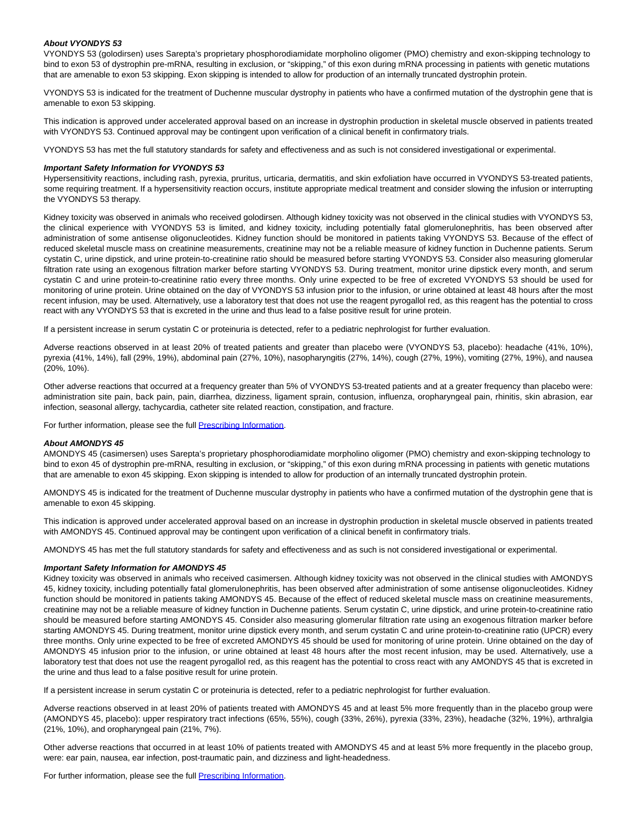# **About VYONDYS 53**

VYONDYS 53 (golodirsen) uses Sarepta's proprietary phosphorodiamidate morpholino oligomer (PMO) chemistry and exon-skipping technology to bind to exon 53 of dystrophin pre-mRNA, resulting in exclusion, or "skipping," of this exon during mRNA processing in patients with genetic mutations that are amenable to exon 53 skipping. Exon skipping is intended to allow for production of an internally truncated dystrophin protein.

VYONDYS 53 is indicated for the treatment of Duchenne muscular dystrophy in patients who have a confirmed mutation of the dystrophin gene that is amenable to exon 53 skipping.

This indication is approved under accelerated approval based on an increase in dystrophin production in skeletal muscle observed in patients treated with VYONDYS 53. Continued approval may be contingent upon verification of a clinical benefit in confirmatory trials.

VYONDYS 53 has met the full statutory standards for safety and effectiveness and as such is not considered investigational or experimental.

#### **Important Safety Information for VYONDYS 53**

Hypersensitivity reactions, including rash, pyrexia, pruritus, urticaria, dermatitis, and skin exfoliation have occurred in VYONDYS 53-treated patients, some requiring treatment. If a hypersensitivity reaction occurs, institute appropriate medical treatment and consider slowing the infusion or interrupting the VYONDYS 53 therapy.

Kidney toxicity was observed in animals who received golodirsen. Although kidney toxicity was not observed in the clinical studies with VYONDYS 53, the clinical experience with VYONDYS 53 is limited, and kidney toxicity, including potentially fatal glomerulonephritis, has been observed after administration of some antisense oligonucleotides. Kidney function should be monitored in patients taking VYONDYS 53. Because of the effect of reduced skeletal muscle mass on creatinine measurements, creatinine may not be a reliable measure of kidney function in Duchenne patients. Serum cystatin C, urine dipstick, and urine protein-to-creatinine ratio should be measured before starting VYONDYS 53. Consider also measuring glomerular filtration rate using an exogenous filtration marker before starting VYONDYS 53. During treatment, monitor urine dipstick every month, and serum cystatin C and urine protein-to-creatinine ratio every three months. Only urine expected to be free of excreted VYONDYS 53 should be used for monitoring of urine protein. Urine obtained on the day of VYONDYS 53 infusion prior to the infusion, or urine obtained at least 48 hours after the most recent infusion, may be used. Alternatively, use a laboratory test that does not use the reagent pyrogallol red, as this reagent has the potential to cross react with any VYONDYS 53 that is excreted in the urine and thus lead to a false positive result for urine protein.

If a persistent increase in serum cystatin C or proteinuria is detected, refer to a pediatric nephrologist for further evaluation.

Adverse reactions observed in at least 20% of treated patients and greater than placebo were (VYONDYS 53, placebo): headache (41%, 10%), pyrexia (41%, 14%), fall (29%, 19%), abdominal pain (27%, 10%), nasopharyngitis (27%, 14%), cough (27%, 19%), vomiting (27%, 19%), and nausea (20%, 10%).

Other adverse reactions that occurred at a frequency greater than 5% of VYONDYS 53-treated patients and at a greater frequency than placebo were: administration site pain, back pain, pain, diarrhea, dizziness, ligament sprain, contusion, influenza, oropharyngeal pain, rhinitis, skin abrasion, ear infection, seasonal allergy, tachycardia, catheter site related reaction, constipation, and fracture.

For further information, please see the full [Prescribing Information.](https://www.globenewswire.com/Tracker?data=rVqTIPP3egQL5KNzOPmmuPqhNZrLFk4QLb56ZHf4GnThIB3j3RIydiDM5zp1oAn0FGCbBkaVYu2VRzY2iXvA9rntSvkJzqFAKma8_ioEVOXjm9SFd5w_XIqMeMYql7bWAL8Q0gr0EL8c3uQgoSESfRPRHZ1RTMnOjT-qNcn9hGzZSL8zBexuFlvaGvJDxx6E)

#### **About AMONDYS 45**

AMONDYS 45 (casimersen) uses Sarepta's proprietary phosphorodiamidate morpholino oligomer (PMO) chemistry and exon-skipping technology to bind to exon 45 of dystrophin pre-mRNA, resulting in exclusion, or "skipping," of this exon during mRNA processing in patients with genetic mutations that are amenable to exon 45 skipping. Exon skipping is intended to allow for production of an internally truncated dystrophin protein.

AMONDYS 45 is indicated for the treatment of Duchenne muscular dystrophy in patients who have a confirmed mutation of the dystrophin gene that is amenable to exon 45 skipping.

This indication is approved under accelerated approval based on an increase in dystrophin production in skeletal muscle observed in patients treated with AMONDYS 45. Continued approval may be contingent upon verification of a clinical benefit in confirmatory trials.

AMONDYS 45 has met the full statutory standards for safety and effectiveness and as such is not considered investigational or experimental.

#### **Important Safety Information for AMONDYS 45**

Kidney toxicity was observed in animals who received casimersen. Although kidney toxicity was not observed in the clinical studies with AMONDYS 45, kidney toxicity, including potentially fatal glomerulonephritis, has been observed after administration of some antisense oligonucleotides. Kidney function should be monitored in patients taking AMONDYS 45. Because of the effect of reduced skeletal muscle mass on creatinine measurements, creatinine may not be a reliable measure of kidney function in Duchenne patients. Serum cystatin C, urine dipstick, and urine protein-to-creatinine ratio should be measured before starting AMONDYS 45. Consider also measuring glomerular filtration rate using an exogenous filtration marker before starting AMONDYS 45. During treatment, monitor urine dipstick every month, and serum cystatin C and urine protein-to-creatinine ratio (UPCR) every three months. Only urine expected to be free of excreted AMONDYS 45 should be used for monitoring of urine protein. Urine obtained on the day of AMONDYS 45 infusion prior to the infusion, or urine obtained at least 48 hours after the most recent infusion, may be used. Alternatively, use a laboratory test that does not use the reagent pyrogallol red, as this reagent has the potential to cross react with any AMONDYS 45 that is excreted in the urine and thus lead to a false positive result for urine protein.

If a persistent increase in serum cystatin C or proteinuria is detected, refer to a pediatric nephrologist for further evaluation.

Adverse reactions observed in at least 20% of patients treated with AMONDYS 45 and at least 5% more frequently than in the placebo group were (AMONDYS 45, placebo): upper respiratory tract infections (65%, 55%), cough (33%, 26%), pyrexia (33%, 23%), headache (32%, 19%), arthralgia (21%, 10%), and oropharyngeal pain (21%, 7%).

Other adverse reactions that occurred in at least 10% of patients treated with AMONDYS 45 and at least 5% more frequently in the placebo group, were: ear pain, nausea, ear infection, post-traumatic pain, and dizziness and light-headedness.

For further information, please see the full [Prescribing Information.](https://www.globenewswire.com/Tracker?data=rVqTIPP3egQL5KNzOPmmuPqhNZrLFk4QLb56ZHf4GnRn_N5-1gjWgRLFTShuPCkgDiQX9s5jwwWNAUTcE6KLIIJOeS876HyapLynuVPFLw8LNmMfgva-1OTOn2_uqg3hVWx86u9EVy144k53eYk5mbVnCeDZPzlJULK7hQz7vpw=)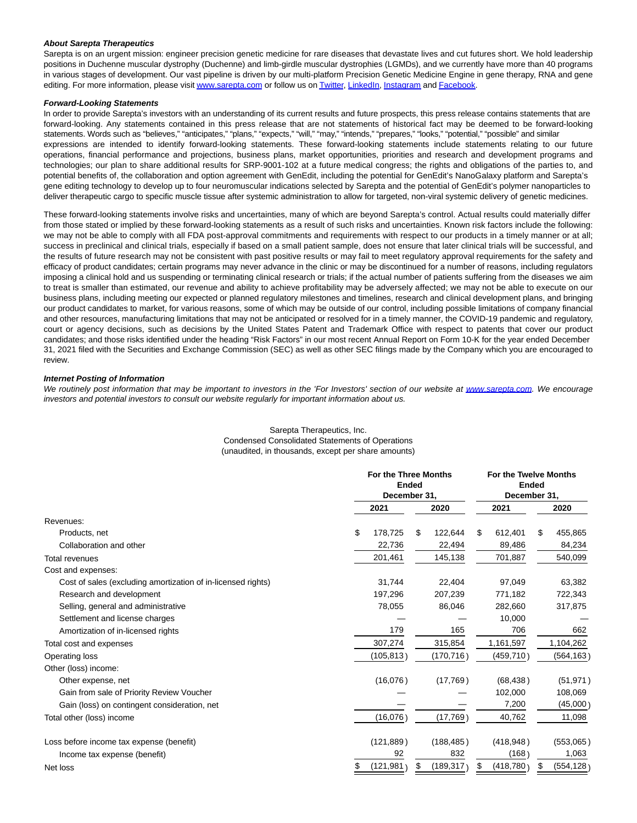#### **About Sarepta Therapeutics**

Sarepta is on an urgent mission: engineer precision genetic medicine for rare diseases that devastate lives and cut futures short. We hold leadership positions in Duchenne muscular dystrophy (Duchenne) and limb-girdle muscular dystrophies (LGMDs), and we currently have more than 40 programs in various stages of development. Our vast pipeline is driven by our multi-platform Precision Genetic Medicine Engine in gene therapy, RNA and gene editing. For more information, please visi[t www.sarepta.com o](https://www.globenewswire.com/Tracker?data=woDtxXdG6IX1HLLln6_ObmQY8EYvsK5BL3rqxSo-Sb5a1D8JWHu8A7Ve_zOPCFj_Y-TrgR8kMa65ZQSJvSJS9g==)r follow us o[n Twitter,](https://www.globenewswire.com/Tracker?data=-yRgv-MKY73XBFS2J0g-K1tQ8pLBxzzsRgzkqAti9BYWAMFY9fFw0H4L8ydWo5rnOeHhXMxVeUkvzPWLX6z6uA==) [LinkedIn,](https://www.globenewswire.com/Tracker?data=oiYPehi7h_QV17TAyo3u13iLeDv62MDa8sf904vPdRMynhX7-0gN-64B_vaE7ptGrepDrxYVfG0kDt_2w6uaCX79miiYpDl662gWRZKJ8mMynvDGZWyqcAaBzqxIeBN0) [Instagram a](https://www.globenewswire.com/Tracker?data=po0iVfv8lsgBrgb67sQVZkTpaeFGYK7VQR3FvGtP4BfjsnLYDbqqYWVoApQzSfYcKhNr6th9_2vvvqqbGJkU4_SY5PCO-8W-wGIeNbgV5MA=)n[d Facebook.](https://www.globenewswire.com/Tracker?data=3vh0Cb_32V6BJTQcQ5pDARHPO2tjUR8gDiqfblx_NNNn2J47uIaNrFgmoKtJmO5YyhHYGvzc_hQ7lWTUGgWvuVW4I__rA3Fij46j06ysi5jCrwoF2fhCvxMsW6tNBxAc)

#### **Forward-Looking Statements**

In order to provide Sarepta's investors with an understanding of its current results and future prospects, this press release contains statements that are forward-looking. Any statements contained in this press release that are not statements of historical fact may be deemed to be forward-looking statements. Words such as "believes," "anticipates," "plans," "expects," "will," "may," "intends," "prepares," "looks," "potential," "possible" and similar expressions are intended to identify forward-looking statements. These forward-looking statements include statements relating to our future operations, financial performance and projections, business plans, market opportunities, priorities and research and development programs and technologies; our plan to share additional results for SRP-9001-102 at a future medical congress; the rights and obligations of the parties to, and potential benefits of, the collaboration and option agreement with GenEdit, including the potential for GenEdit's NanoGalaxy platform and Sarepta's gene editing technology to develop up to four neuromuscular indications selected by Sarepta and the potential of GenEdit's polymer nanoparticles to deliver therapeutic cargo to specific muscle tissue after systemic administration to allow for targeted, non-viral systemic delivery of genetic medicines.

These forward-looking statements involve risks and uncertainties, many of which are beyond Sarepta's control. Actual results could materially differ from those stated or implied by these forward-looking statements as a result of such risks and uncertainties. Known risk factors include the following: we may not be able to comply with all FDA post-approval commitments and requirements with respect to our products in a timely manner or at all; success in preclinical and clinical trials, especially if based on a small patient sample, does not ensure that later clinical trials will be successful, and the results of future research may not be consistent with past positive results or may fail to meet regulatory approval requirements for the safety and efficacy of product candidates; certain programs may never advance in the clinic or may be discontinued for a number of reasons, including regulators imposing a clinical hold and us suspending or terminating clinical research or trials; if the actual number of patients suffering from the diseases we aim to treat is smaller than estimated, our revenue and ability to achieve profitability may be adversely affected; we may not be able to execute on our business plans, including meeting our expected or planned regulatory milestones and timelines, research and clinical development plans, and bringing our product candidates to market, for various reasons, some of which may be outside of our control, including possible limitations of company financial and other resources, manufacturing limitations that may not be anticipated or resolved for in a timely manner, the COVID-19 pandemic and regulatory, court or agency decisions, such as decisions by the United States Patent and Trademark Office with respect to patents that cover our product candidates; and those risks identified under the heading "Risk Factors" in our most recent Annual Report on Form 10-K for the year ended December 31, 2021 filed with the Securities and Exchange Commission (SEC) as well as other SEC filings made by the Company which you are encouraged to review.

### **Internet Posting of Information**

We routinely post information that may be important to investors in the 'For Investors' section of our website at [www.sarepta.com.](https://www.globenewswire.com/Tracker?data=woDtxXdG6IX1HLLln6_Obvf2LDxWIjQEgapM280XQ-V6xpKPsgePXUuFUMIH8tCbt_LhQd6h9y43rP7h1I_ZuA==) We encourage investors and potential investors to consult our website regularly for important information about us.

#### Sarepta Therapeutics, Inc. Condensed Consolidated Statements of Operations (unaudited, in thousands, except per share amounts)

|                                                              | For the Three Months<br><b>Ended</b><br>December 31, |    | For the Twelve Months<br>Ended<br>December 31, |      |            |      |            |
|--------------------------------------------------------------|------------------------------------------------------|----|------------------------------------------------|------|------------|------|------------|
|                                                              | 2021                                                 |    | 2020                                           | 2021 |            | 2020 |            |
| Revenues:                                                    |                                                      |    |                                                |      |            |      |            |
| Products, net                                                | \$<br>178,725                                        | \$ | 122,644                                        | \$   | 612,401    | \$   | 455,865    |
| Collaboration and other                                      | 22,736                                               |    | 22,494                                         |      | 89,486     |      | 84,234     |
| <b>Total revenues</b>                                        | 201,461                                              |    | 145,138                                        |      | 701,887    |      | 540,099    |
| Cost and expenses:                                           |                                                      |    |                                                |      |            |      |            |
| Cost of sales (excluding amortization of in-licensed rights) | 31,744                                               |    | 22,404                                         |      | 97,049     |      | 63,382     |
| Research and development                                     | 197,296                                              |    | 207,239                                        |      | 771,182    |      | 722,343    |
| Selling, general and administrative                          | 78,055                                               |    | 86,046                                         |      | 282,660    |      | 317,875    |
| Settlement and license charges                               |                                                      |    |                                                |      | 10,000     |      |            |
| Amortization of in-licensed rights                           | 179                                                  |    | 165                                            |      | 706        |      | 662        |
| Total cost and expenses                                      | 307,274                                              |    | 315,854                                        |      | 1,161,597  |      | 1,104,262  |
| Operating loss                                               | (105, 813)                                           |    | (170, 716)                                     |      | (459, 710) |      | (564, 163) |
| Other (loss) income:                                         |                                                      |    |                                                |      |            |      |            |
| Other expense, net                                           | (16,076)                                             |    | (17,769)                                       |      | (68, 438)  |      | (51, 971)  |
| Gain from sale of Priority Review Voucher                    |                                                      |    |                                                |      | 102,000    |      | 108,069    |
| Gain (loss) on contingent consideration, net                 |                                                      |    |                                                |      | 7,200      |      | (45,000)   |
| Total other (loss) income                                    | (16,076)                                             |    | (17, 769)                                      |      | 40,762     |      | 11,098     |
| Loss before income tax expense (benefit)                     | (121, 889)                                           |    | (188, 485)                                     |      | (418, 948) |      | (553,065)  |
| Income tax expense (benefit)                                 | 92                                                   |    | 832                                            |      | (168)      |      | 1,063      |
| Net loss                                                     | \$<br>(121, 981)                                     |    | (189, 317)                                     | S    | (418,780)  |      | (554, 128) |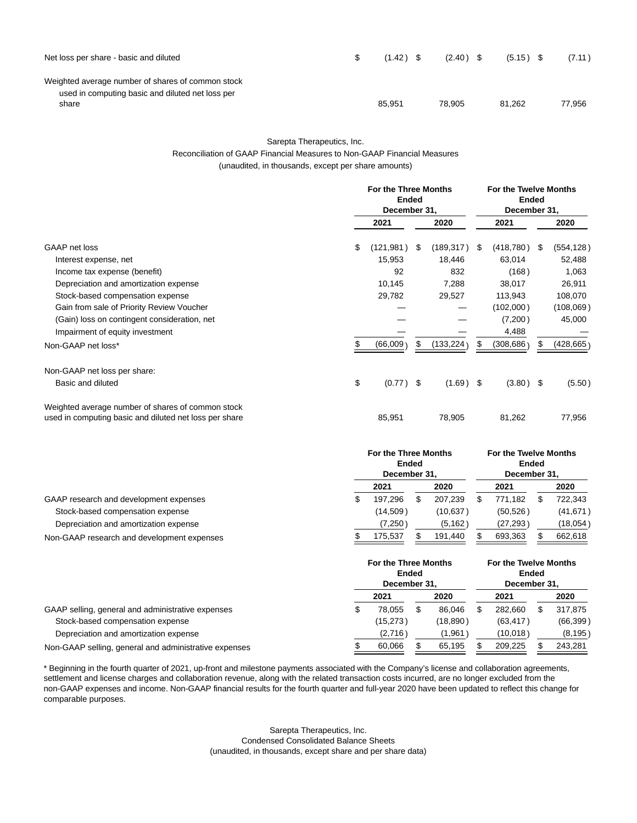| Net loss per share - basic and diluted                                                                | $(1.42)$ \$ | $(2.40)$ \$ | $(5.15)$ \$ | (7.11) |
|-------------------------------------------------------------------------------------------------------|-------------|-------------|-------------|--------|
| Weighted average number of shares of common stock<br>used in computing basic and diluted net loss per |             |             |             | 77.956 |
| share                                                                                                 | 85.951      | 78.905      |             | 81.262 |

# Sarepta Therapeutics, Inc. Reconciliation of GAAP Financial Measures to Non-GAAP Financial Measures (unaudited, in thousands, except per share amounts)

|                                                                                                             | For the Three Months<br>Ended<br>December 31, |             |    |             |    | For the Twelve Months<br><b>Ended</b><br>December 31, |    |            |  |  |
|-------------------------------------------------------------------------------------------------------------|-----------------------------------------------|-------------|----|-------------|----|-------------------------------------------------------|----|------------|--|--|
|                                                                                                             |                                               | 2021        |    | 2020        |    | 2021                                                  |    | 2020       |  |  |
| GAAP net loss                                                                                               | \$                                            | (121, 981)  | \$ | (189, 317)  | S  | (418, 780)                                            | -S | (554, 128) |  |  |
| Interest expense, net                                                                                       |                                               | 15,953      |    | 18,446      |    | 63,014                                                |    | 52,488     |  |  |
| Income tax expense (benefit)                                                                                |                                               | 92          |    | 832         |    | (168)                                                 |    | 1,063      |  |  |
| Depreciation and amortization expense                                                                       |                                               | 10,145      |    | 7,288       |    | 38,017                                                |    | 26,911     |  |  |
| Stock-based compensation expense                                                                            |                                               | 29,782      |    | 29,527      |    | 113,943                                               |    | 108,070    |  |  |
| Gain from sale of Priority Review Voucher                                                                   |                                               |             |    |             |    | (102,000)                                             |    | (108,069)  |  |  |
| (Gain) loss on contingent consideration, net                                                                |                                               |             |    |             |    | (7,200)                                               |    | 45,000     |  |  |
| Impairment of equity investment                                                                             |                                               |             |    |             |    | 4,488                                                 |    |            |  |  |
| Non-GAAP net loss*                                                                                          |                                               | (66,009)    | \$ | (133, 224)  | S. | (308, 686)                                            |    | (428, 665) |  |  |
| Non-GAAP net loss per share:                                                                                |                                               |             |    |             |    |                                                       |    |            |  |  |
| Basic and diluted                                                                                           | \$                                            | $(0.77)$ \$ |    | $(1.69)$ \$ |    | $(3.80)$ \$                                           |    | (5.50)     |  |  |
| Weighted average number of shares of common stock<br>used in computing basic and diluted net loss per share |                                               | 85,951      |    | 78,905      |    | 81,262                                                |    | 77,956     |  |  |

|                                            | For the Three Months<br>Ended<br>December 31. |  |          | For the Twelve Months<br>Ended<br>December 31. |           |  |           |
|--------------------------------------------|-----------------------------------------------|--|----------|------------------------------------------------|-----------|--|-----------|
|                                            | 2021                                          |  | 2020     |                                                | 2021      |  | 2020      |
| GAAP research and development expenses     | 197.296                                       |  | 207.239  |                                                | 771.182   |  | 722.343   |
| Stock-based compensation expense           | (14.509)                                      |  | (10.637) |                                                | (50, 526) |  | (41, 671) |
| Depreciation and amortization expense      | (7,250)                                       |  | (5, 162) |                                                | (27, 293) |  | (18,054)  |
| Non-GAAP research and development expenses | 175,537                                       |  | 191,440  |                                                | 693,363   |  | 662,618   |

|                                                       | For the Three Months<br>Ended<br>December 31. |  |           | For the Twelve Months<br>Ended<br>December 31. |           |  |           |
|-------------------------------------------------------|-----------------------------------------------|--|-----------|------------------------------------------------|-----------|--|-----------|
|                                                       | 2021                                          |  | 2020      |                                                | 2021      |  | 2020      |
| GAAP selling, general and administrative expenses     | 78.055                                        |  | 86.046    |                                                | 282.660   |  | 317.875   |
| Stock-based compensation expense                      | (15, 273)                                     |  | (18, 890) |                                                | (63, 417) |  | (66, 399) |
| Depreciation and amortization expense                 | (2,716)                                       |  | (1,961)   |                                                | (10,018)  |  | (8, 195)  |
| Non-GAAP selling, general and administrative expenses | 60,066                                        |  | 65,195    |                                                | 209.225   |  | 243,281   |

\* Beginning in the fourth quarter of 2021, up-front and milestone payments associated with the Company's license and collaboration agreements, settlement and license charges and collaboration revenue, along with the related transaction costs incurred, are no longer excluded from the non-GAAP expenses and income. Non-GAAP financial results for the fourth quarter and full-year 2020 have been updated to reflect this change for comparable purposes.

> Sarepta Therapeutics, Inc. Condensed Consolidated Balance Sheets (unaudited, in thousands, except share and per share data)